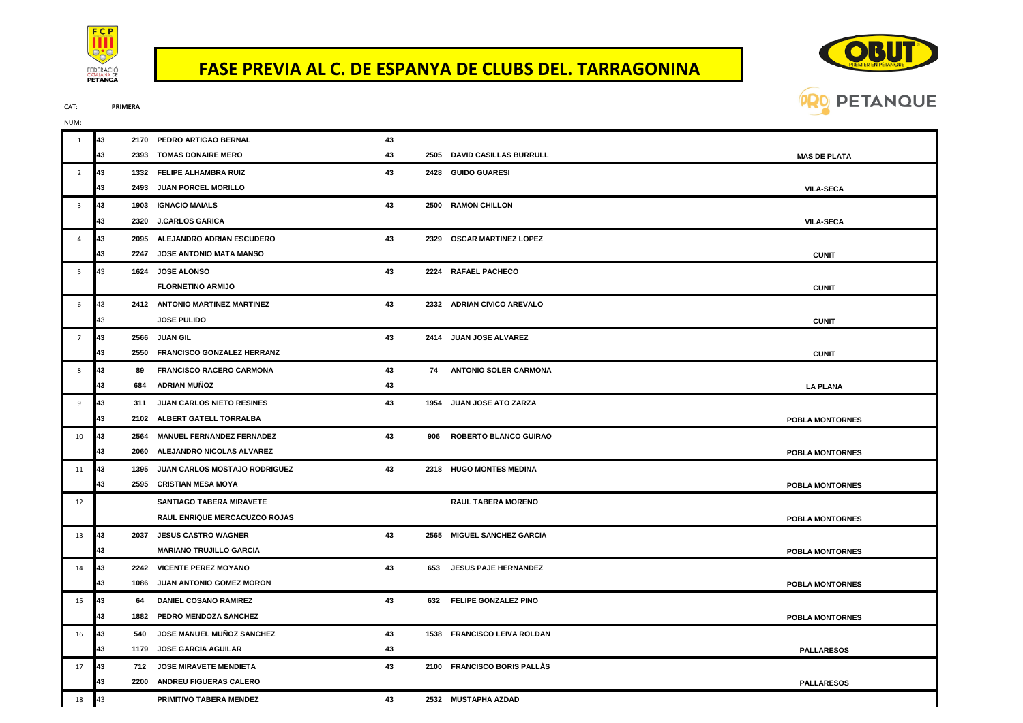

## **FASE PREVIA AL C. DE ESPANYA DE CLUBS DEL. TARRAGONINA**



CAT: **PRIMERA**

| NUM:                    |    |      |                                      |    |     |                              |                        |
|-------------------------|----|------|--------------------------------------|----|-----|------------------------------|------------------------|
|                         | 43 |      | 2170 PEDRO ARTIGAO BERNAL            | 43 |     |                              |                        |
|                         | 43 |      | 2393 TOMAS DONAIRE MERO              | 43 |     | 2505 DAVID CASILLAS BURRULL  | <b>MAS DE PLATA</b>    |
| $\overline{2}$          | 43 |      | 1332 FELIPE ALHAMBRA RUIZ            | 43 |     | 2428 GUIDO GUARESI           |                        |
|                         | 43 |      | 2493 JUAN PORCEL MORILLO             |    |     |                              | <b>VILA-SECA</b>       |
| $\overline{\mathbf{3}}$ | 43 |      | 1903 IGNACIO MAIALS                  | 43 |     | 2500 RAMON CHILLON           |                        |
|                         | 43 |      | 2320 J.CARLOS GARICA                 |    |     |                              | <b>VILA-SECA</b>       |
| $\overline{4}$          | 43 |      | 2095 ALEJANDRO ADRIAN ESCUDERO       | 43 |     | 2329 OSCAR MARTINEZ LOPEZ    |                        |
|                         | 43 |      | 2247 JOSE ANTONIO MATA MANSO         |    |     |                              | <b>CUNIT</b>           |
| -5                      | 43 |      | 1624 JOSE ALONSO                     | 43 |     | 2224 RAFAEL PACHECO          |                        |
|                         |    |      | <b>FLORNETINO ARMIJO</b>             |    |     |                              | <b>CUNIT</b>           |
| 6                       | 43 |      | 2412 ANTONIO MARTINEZ MARTINEZ       | 43 |     | 2332 ADRIAN CIVICO AREVALO   |                        |
|                         | 43 |      | <b>JOSE PULIDO</b>                   |    |     |                              | <b>CUNIT</b>           |
| $\overline{7}$          | 43 |      | 2566 JUAN GIL                        | 43 |     | 2414 JUAN JOSE ALVAREZ       |                        |
|                         | 43 |      | 2550 FRANCISCO GONZALEZ HERRANZ      |    |     |                              | <b>CUNIT</b>           |
| 8                       | 43 | 89   | <b>FRANCISCO RACERO CARMONA</b>      | 43 |     | 74 ANTONIO SOLER CARMONA     |                        |
|                         | 43 |      | 684 ADRIAN MUÑOZ                     | 43 |     |                              | <b>LA PLANA</b>        |
| 9                       | 43 | 311  | JUAN CARLOS NIETO RESINES            | 43 |     | 1954 JUAN JOSE ATO ZARZA     |                        |
|                         | 43 |      | 2102 ALBERT GATELL TORRALBA          |    |     |                              | <b>POBLA MONTORNES</b> |
| 10                      | 43 |      | 2564 MANUEL FERNANDEZ FERNADEZ       | 43 | 906 | <b>ROBERTO BLANCO GUIRAO</b> |                        |
|                         | 43 |      | 2060 ALEJANDRO NICOLAS ALVAREZ       |    |     |                              | <b>POBLA MONTORNES</b> |
| 11                      | 43 | 1395 | JUAN CARLOS MOSTAJO RODRIGUEZ        | 43 |     | 2318 HUGO MONTES MEDINA      |                        |
|                         | 43 |      | 2595 CRISTIAN MESA MOYA              |    |     |                              | <b>POBLA MONTORNES</b> |
| 12                      |    |      | <b>SANTIAGO TABERA MIRAVETE</b>      |    |     | <b>RAUL TABERA MORENO</b>    |                        |
|                         |    |      | <b>RAUL ENRIQUE MERCACUZCO ROJAS</b> |    |     |                              | <b>POBLA MONTORNES</b> |
| 13                      | 43 |      | 2037 JESUS CASTRO WAGNER             | 43 |     | 2565 MIGUEL SANCHEZ GARCIA   |                        |
|                         | 43 |      | <b>MARIANO TRUJILLO GARCIA</b>       |    |     |                              | <b>POBLA MONTORNES</b> |
| 14                      | 43 |      | 2242 VICENTE PEREZ MOYANO            | 43 |     | 653 JESUS PAJE HERNANDEZ     |                        |
|                         | 43 |      | 1086 JUAN ANTONIO GOMEZ MORON        |    |     |                              | <b>POBLA MONTORNES</b> |
| 15                      | 43 | 64   | <b>DANIEL COSANO RAMIREZ</b>         | 43 |     | 632 FELIPE GONZALEZ PINO     |                        |
|                         | 43 |      | 1882 PEDRO MENDOZA SANCHEZ           |    |     |                              | <b>POBLA MONTORNES</b> |
| 16                      | 43 | 540  | JOSE MANUEL MUÑOZ SANCHEZ            | 43 |     | 1538 FRANCISCO LEIVA ROLDAN  |                        |
|                         | 43 |      | 1179 JOSE GARCIA AGUILAR             | 43 |     |                              | <b>PALLARESOS</b>      |
| 17                      | 43 | 712  | <b>JOSE MIRAVETE MENDIETA</b>        | 43 |     | 2100 FRANCISCO BORIS PALLAS  |                        |
|                         |    |      | 2200 ANDREU FIGUERAS CALERO          |    |     |                              | <b>PALLARESOS</b>      |
| 18                      | 43 |      | PRIMITIVO TABERA MENDEZ              | 43 |     | 2532 MUSTAPHA AZDAD          |                        |